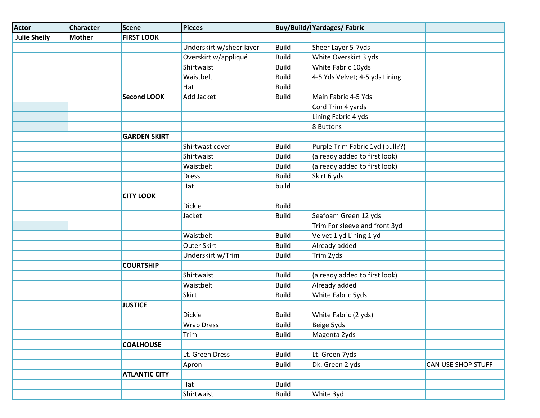| <b>Actor</b>        | <b>Character</b> | <b>Scene</b>         | <b>Pieces</b>            |              | Buy/Build/ Yardages/ Fabric     |                    |
|---------------------|------------------|----------------------|--------------------------|--------------|---------------------------------|--------------------|
| <b>Julie Sheily</b> | <b>Mother</b>    | <b>FIRST LOOK</b>    |                          |              |                                 |                    |
|                     |                  |                      | Underskirt w/sheer layer | Build        | Sheer Layer 5-7yds              |                    |
|                     |                  |                      | Overskirt w/appliqué     | <b>Build</b> | White Overskirt 3 yds           |                    |
|                     |                  |                      | Shirtwaist               | <b>Build</b> | White Fabric 10yds              |                    |
|                     |                  |                      | Waistbelt                | <b>Build</b> | 4-5 Yds Velvet; 4-5 yds Lining  |                    |
|                     |                  |                      | Hat                      | <b>Build</b> |                                 |                    |
|                     |                  | <b>Second LOOK</b>   | <b>Add Jacket</b>        | <b>Build</b> | Main Fabric 4-5 Yds             |                    |
|                     |                  |                      |                          |              | Cord Trim 4 yards               |                    |
|                     |                  |                      |                          |              | Lining Fabric 4 yds             |                    |
|                     |                  |                      |                          |              | 8 Buttons                       |                    |
|                     |                  | <b>GARDEN SKIRT</b>  |                          |              |                                 |                    |
|                     |                  |                      | Shirtwast cover          | <b>Build</b> | Purple Trim Fabric 1yd (pull??) |                    |
|                     |                  |                      | Shirtwaist               | <b>Build</b> | (already added to first look)   |                    |
|                     |                  |                      | Waistbelt                | <b>Build</b> | (already added to first look)   |                    |
|                     |                  |                      | <b>Dress</b>             | <b>Build</b> | Skirt 6 yds                     |                    |
|                     |                  |                      | Hat                      | build        |                                 |                    |
|                     |                  | <b>CITY LOOK</b>     |                          |              |                                 |                    |
|                     |                  |                      | <b>Dickie</b>            | <b>Build</b> |                                 |                    |
|                     |                  |                      | Jacket                   | <b>Build</b> | Seafoam Green 12 yds            |                    |
|                     |                  |                      |                          |              | Trim For sleeve and front 3yd   |                    |
|                     |                  |                      | Waistbelt                | <b>Build</b> | Velvet 1 yd Lining 1 yd         |                    |
|                     |                  |                      | <b>Outer Skirt</b>       | <b>Build</b> | Already added                   |                    |
|                     |                  |                      | Underskirt w/Trim        | <b>Build</b> | Trim 2yds                       |                    |
|                     |                  | <b>COURTSHIP</b>     |                          |              |                                 |                    |
|                     |                  |                      | Shirtwaist               | <b>Build</b> | (already added to first look)   |                    |
|                     |                  |                      | Waistbelt                | <b>Build</b> | Already added                   |                    |
|                     |                  |                      | <b>Skirt</b>             | <b>Build</b> | White Fabric 5yds               |                    |
|                     |                  | <b>JUSTICE</b>       |                          |              |                                 |                    |
|                     |                  |                      | <b>Dickie</b>            | <b>Build</b> | White Fabric (2 yds)            |                    |
|                     |                  |                      | <b>Wrap Dress</b>        | <b>Build</b> | Beige 5yds                      |                    |
|                     |                  |                      | Trim                     | <b>Build</b> | Magenta 2yds                    |                    |
|                     |                  | <b>COALHOUSE</b>     |                          |              |                                 |                    |
|                     |                  |                      | Lt. Green Dress          | <b>Build</b> | Lt. Green 7yds                  |                    |
|                     |                  |                      | Apron                    | <b>Build</b> | Dk. Green 2 yds                 | CAN USE SHOP STUFF |
|                     |                  | <b>ATLANTIC CITY</b> |                          |              |                                 |                    |
|                     |                  |                      | Hat                      | <b>Build</b> |                                 |                    |
|                     |                  |                      | Shirtwaist               | <b>Build</b> | White 3yd                       |                    |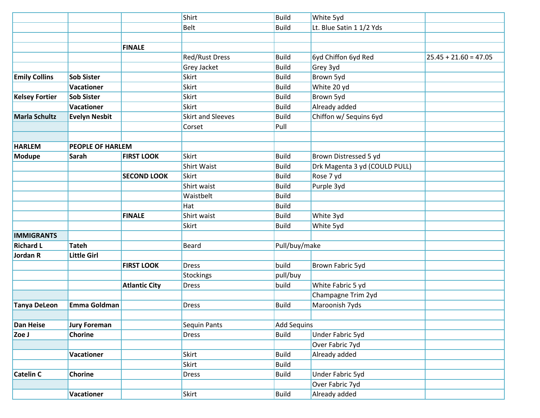|                       |                         |                      | Shirt                    | Build              | White 5yd                     |                         |
|-----------------------|-------------------------|----------------------|--------------------------|--------------------|-------------------------------|-------------------------|
|                       |                         |                      | <b>Belt</b>              | <b>Build</b>       | Lt. Blue Satin 1 1/2 Yds      |                         |
|                       |                         |                      |                          |                    |                               |                         |
|                       |                         | <b>FINALE</b>        |                          |                    |                               |                         |
|                       |                         |                      | Red/Rust Dress           | <b>Build</b>       | 6yd Chiffon 6yd Red           | $25.45 + 21.60 = 47.05$ |
|                       |                         |                      | Grey Jacket              | <b>Build</b>       | Grey 3yd                      |                         |
| <b>Emily Collins</b>  | <b>Sob Sister</b>       |                      | Skirt                    | <b>Build</b>       | Brown 5yd                     |                         |
|                       | <b>Vacationer</b>       |                      | Skirt                    | <b>Build</b>       | White 20 yd                   |                         |
| <b>Kelsey Fortier</b> | <b>Sob Sister</b>       |                      | Skirt                    | <b>Build</b>       | Brown 5yd                     |                         |
|                       | <b>Vacationer</b>       |                      | <b>Skirt</b>             | <b>Build</b>       | Already added                 |                         |
| <b>Marla Schultz</b>  | <b>Evelyn Nesbit</b>    |                      | <b>Skirt and Sleeves</b> | <b>Build</b>       | Chiffon w/ Sequins 6yd        |                         |
|                       |                         |                      | Corset                   | Pull               |                               |                         |
|                       |                         |                      |                          |                    |                               |                         |
| <b>HARLEM</b>         | <b>PEOPLE OF HARLEM</b> |                      |                          |                    |                               |                         |
| <b>Modupe</b>         | Sarah                   | <b>FIRST LOOK</b>    | <b>Skirt</b>             | <b>Build</b>       | Brown Distressed 5 yd         |                         |
|                       |                         |                      | <b>Shirt Waist</b>       | <b>Build</b>       | Drk Magenta 3 yd (COULD PULL) |                         |
|                       |                         | <b>SECOND LOOK</b>   | <b>Skirt</b>             | <b>Build</b>       | Rose 7 yd                     |                         |
|                       |                         |                      | Shirt waist              | <b>Build</b>       | Purple 3yd                    |                         |
|                       |                         |                      | Waistbelt                | <b>Build</b>       |                               |                         |
|                       |                         |                      | Hat                      | <b>Build</b>       |                               |                         |
|                       |                         | <b>FINALE</b>        | Shirt waist              | <b>Build</b>       | White 3yd                     |                         |
|                       |                         |                      | <b>Skirt</b>             | <b>Build</b>       | White 5yd                     |                         |
| <b>IMMIGRANTS</b>     |                         |                      |                          |                    |                               |                         |
| <b>Richard L</b>      | <b>Tateh</b>            |                      | <b>Beard</b>             | Pull/buy/make      |                               |                         |
| Jordan R              | <b>Little Girl</b>      |                      |                          |                    |                               |                         |
|                       |                         | <b>FIRST LOOK</b>    | <b>Dress</b>             | build              | Brown Fabric 5yd              |                         |
|                       |                         |                      | <b>Stockings</b>         | pull/buy           |                               |                         |
|                       |                         | <b>Atlantic City</b> | <b>Dress</b>             | build              | White Fabric 5 yd             |                         |
|                       |                         |                      |                          |                    | Champagne Trim 2yd            |                         |
| <b>Tanya DeLeon</b>   | Emma Goldman            |                      | <b>Dress</b>             | <b>Build</b>       | Maroonish 7yds                |                         |
|                       |                         |                      |                          |                    |                               |                         |
| <b>Dan Heise</b>      | <b>Jury Foreman</b>     |                      | Sequin Pants             | <b>Add Sequins</b> |                               |                         |
| Zoe J                 | <b>Chorine</b>          |                      | <b>Dress</b>             | <b>Build</b>       | <b>Under Fabric 5yd</b>       |                         |
|                       |                         |                      |                          |                    | Over Fabric 7yd               |                         |
|                       | Vacationer              |                      | Skirt                    | <b>Build</b>       | Already added                 |                         |
|                       |                         |                      | Skirt                    | <b>Build</b>       |                               |                         |
| <b>Catelin C</b>      | Chorine                 |                      | <b>Dress</b>             | <b>Build</b>       | Under Fabric 5yd              |                         |
|                       |                         |                      |                          |                    | Over Fabric 7yd               |                         |
|                       | Vacationer              |                      | Skirt                    | <b>Build</b>       | Already added                 |                         |